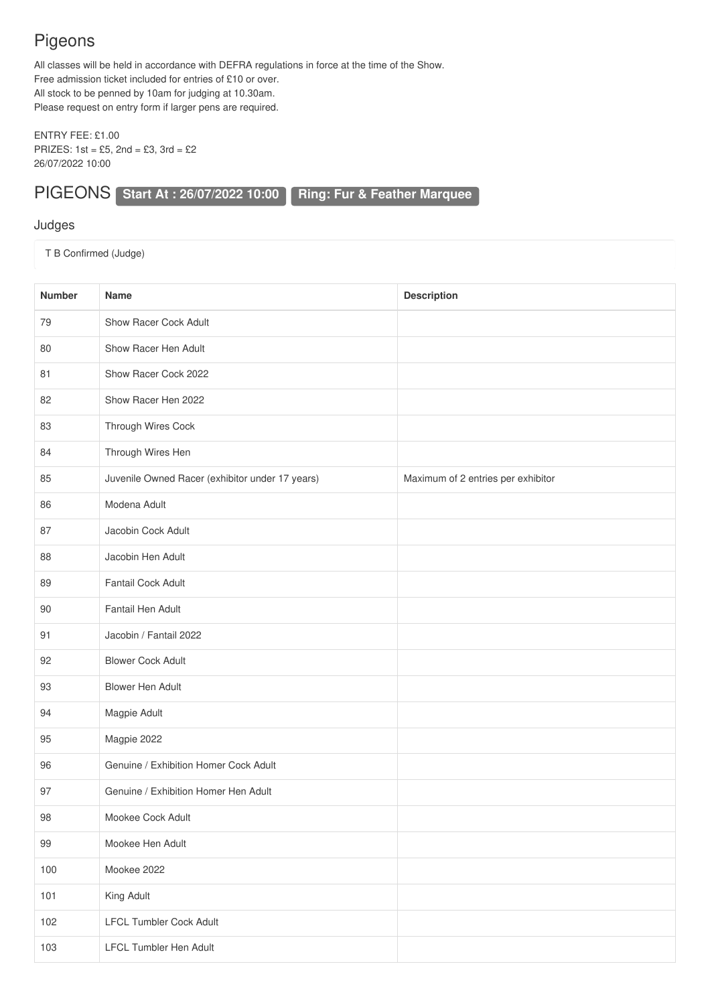## Pigeons

All classes will be held in accordance with DEFRA regulations in force at the time of the Show. Free admission ticket included for entries of £10 or over. All stock to be penned by 10am for judging at 10.30am. Please request on entry form if larger pens are required.

ENTRY FEE: £1.00 PRIZES: 1st = £5, 2nd = £3, 3rd = £2 26/07/2022 10:00

## PIGEONS **Start At : 26/07/2022 10:00 Ring: Fur & Feather Marquee**

## Judges

T B Confirmed (Judge)

| Number | Name                                            | <b>Description</b>                 |
|--------|-------------------------------------------------|------------------------------------|
| 79     | Show Racer Cock Adult                           |                                    |
| 80     | Show Racer Hen Adult                            |                                    |
| 81     | Show Racer Cock 2022                            |                                    |
| 82     | Show Racer Hen 2022                             |                                    |
| 83     | Through Wires Cock                              |                                    |
| 84     | Through Wires Hen                               |                                    |
| 85     | Juvenile Owned Racer (exhibitor under 17 years) | Maximum of 2 entries per exhibitor |
| 86     | Modena Adult                                    |                                    |
| 87     | Jacobin Cock Adult                              |                                    |
| 88     | Jacobin Hen Adult                               |                                    |
| 89     | Fantail Cock Adult                              |                                    |
| 90     | Fantail Hen Adult                               |                                    |
| 91     | Jacobin / Fantail 2022                          |                                    |
| 92     | <b>Blower Cock Adult</b>                        |                                    |
| 93     | <b>Blower Hen Adult</b>                         |                                    |
| 94     | Magpie Adult                                    |                                    |
| 95     | Magpie 2022                                     |                                    |
| 96     | Genuine / Exhibition Homer Cock Adult           |                                    |
| 97     | Genuine / Exhibition Homer Hen Adult            |                                    |
| 98     | Mookee Cock Adult                               |                                    |
| 99     | Mookee Hen Adult                                |                                    |
| 100    | Mookee 2022                                     |                                    |
| 101    | King Adult                                      |                                    |
| 102    | <b>LFCL Tumbler Cock Adult</b>                  |                                    |
| 103    | <b>LFCL Tumbler Hen Adult</b>                   |                                    |